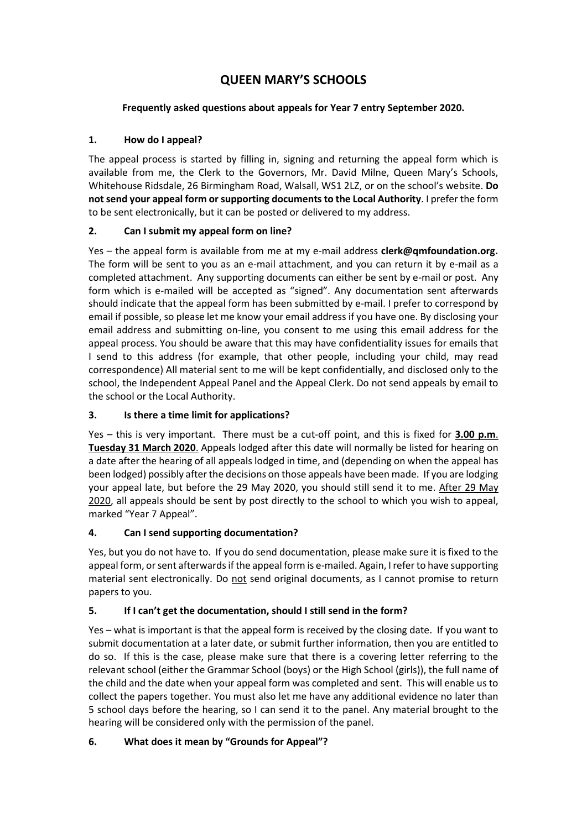# **QUEEN MARY'S SCHOOLS**

# **Frequently asked questions about appeals for Year 7 entry September 2020.**

# **1. How do I appeal?**

The appeal process is started by filling in, signing and returning the appeal form which is available from me, the Clerk to the Governors, Mr. David Milne, Queen Mary's Schools, Whitehouse Ridsdale, 26 Birmingham Road, Walsall, WS1 2LZ, or on the school's website. **Do not send your appeal form or supporting documents to the Local Authority**. I prefer the form to be sent electronically, but it can be posted or delivered to my address.

# **2. Can I submit my appeal form on line?**

Yes – the appeal form is available from me at my e-mail address **clerk@qmfoundation.org**. The form will be sent to you as an e-mail attachment, and you can return it by e-mail as a completed attachment. Any supporting documents can either be sent by e-mail or post. Any form which is e-mailed will be accepted as "signed". Any documentation sent afterwards should indicate that the appeal form has been submitted by e-mail. I prefer to correspond by email if possible, so please let me know your email address if you have one. By disclosing your email address and submitting on-line, you consent to me using this email address for the appeal process. You should be aware that this may have confidentiality issues for emails that I send to this address (for example, that other people, including your child, may read correspondence) All material sent to me will be kept confidentially, and disclosed only to the school, the Independent Appeal Panel and the Appeal Clerk. Do not send appeals by email to the school or the Local Authority.

# **3. Is there a time limit for applications?**

Yes – this is very important. There must be a cut-off point, and this is fixed for **3.00 p.m**. **Tuesday 31 March 2020**. Appeals lodged after this date will normally be listed for hearing on a date after the hearing of all appeals lodged in time, and (depending on when the appeal has been lodged) possibly after the decisions on those appeals have been made. If you are lodging your appeal late, but before the 29 May 2020, you should still send it to me. After 29 May 2020, all appeals should be sent by post directly to the school to which you wish to appeal, marked "Year 7 Appeal".

# **4. Can I send supporting documentation?**

Yes, but you do not have to. If you do send documentation, please make sure it is fixed to the appeal form, or sent afterwards if the appeal form is e-mailed. Again, I refer to have supporting material sent electronically. Do not send original documents, as I cannot promise to return papers to you.

# **5. If I can't get the documentation, should I still send in the form?**

Yes – what is important is that the appeal form is received by the closing date. If you want to submit documentation at a later date, or submit further information, then you are entitled to do so. If this is the case, please make sure that there is a covering letter referring to the relevant school (either the Grammar School (boys) or the High School (girls)), the full name of the child and the date when your appeal form was completed and sent. This will enable us to collect the papers together. You must also let me have any additional evidence no later than 5 school days before the hearing, so I can send it to the panel. Any material brought to the hearing will be considered only with the permission of the panel.

# **6. What does it mean by "Grounds for Appeal"?**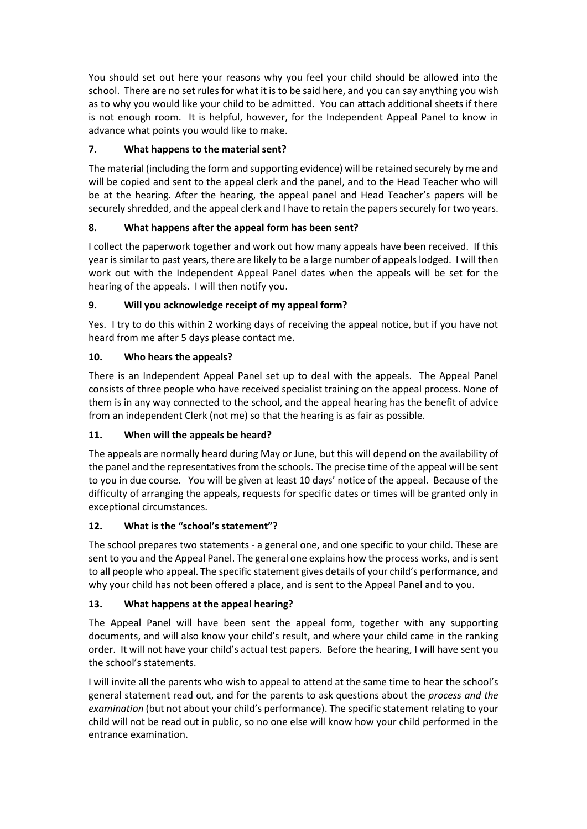You should set out here your reasons why you feel your child should be allowed into the school. There are no set rules for what it is to be said here, and you can say anything you wish as to why you would like your child to be admitted. You can attach additional sheets if there is not enough room. It is helpful, however, for the Independent Appeal Panel to know in advance what points you would like to make.

# **7. What happens to the material sent?**

The material (including the form and supporting evidence) will be retained securely by me and will be copied and sent to the appeal clerk and the panel, and to the Head Teacher who will be at the hearing. After the hearing, the appeal panel and Head Teacher's papers will be securely shredded, and the appeal clerk and I have to retain the papers securely for two years.

# **8. What happens after the appeal form has been sent?**

I collect the paperwork together and work out how many appeals have been received. If this year is similar to past years, there are likely to be a large number of appeals lodged. I will then work out with the Independent Appeal Panel dates when the appeals will be set for the hearing of the appeals. I will then notify you.

#### **9. Will you acknowledge receipt of my appeal form?**

Yes. I try to do this within 2 working days of receiving the appeal notice, but if you have not heard from me after 5 days please contact me.

#### **10. Who hears the appeals?**

There is an Independent Appeal Panel set up to deal with the appeals. The Appeal Panel consists of three people who have received specialist training on the appeal process. None of them is in any way connected to the school, and the appeal hearing has the benefit of advice from an independent Clerk (not me) so that the hearing is as fair as possible.

#### **11. When will the appeals be heard?**

The appeals are normally heard during May or June, but this will depend on the availability of the panel and the representatives from the schools. The precise time of the appeal will be sent to you in due course. You will be given at least 10 days' notice of the appeal. Because of the difficulty of arranging the appeals, requests for specific dates or times will be granted only in exceptional circumstances.

#### **12. What is the "school's statement"?**

The school prepares two statements - a general one, and one specific to your child. These are sent to you and the Appeal Panel. The general one explains how the process works, and is sent to all people who appeal. The specific statement gives details of your child's performance, and why your child has not been offered a place, and is sent to the Appeal Panel and to you.

#### **13. What happens at the appeal hearing?**

The Appeal Panel will have been sent the appeal form, together with any supporting documents, and will also know your child's result, and where your child came in the ranking order. It will not have your child's actual test papers. Before the hearing, I will have sent you the school's statements.

I will invite all the parents who wish to appeal to attend at the same time to hear the school's general statement read out, and for the parents to ask questions about the *process and the examination* (but not about your child's performance). The specific statement relating to your child will not be read out in public, so no one else will know how your child performed in the entrance examination.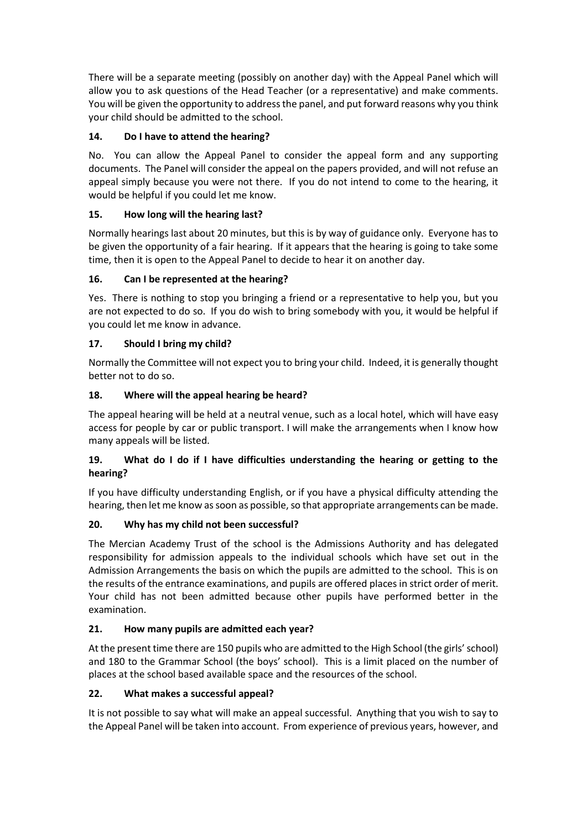There will be a separate meeting (possibly on another day) with the Appeal Panel which will allow you to ask questions of the Head Teacher (or a representative) and make comments. You will be given the opportunity to address the panel, and put forward reasons why you think your child should be admitted to the school.

### **14. Do I have to attend the hearing?**

No. You can allow the Appeal Panel to consider the appeal form and any supporting documents. The Panel will consider the appeal on the papers provided, and will not refuse an appeal simply because you were not there. If you do not intend to come to the hearing, it would be helpful if you could let me know.

#### **15. How long will the hearing last?**

Normally hearings last about 20 minutes, but this is by way of guidance only. Everyone has to be given the opportunity of a fair hearing. If it appears that the hearing is going to take some time, then it is open to the Appeal Panel to decide to hear it on another day.

#### **16. Can I be represented at the hearing?**

Yes. There is nothing to stop you bringing a friend or a representative to help you, but you are not expected to do so. If you do wish to bring somebody with you, it would be helpful if you could let me know in advance.

#### **17. Should I bring my child?**

Normally the Committee will not expect you to bring your child. Indeed, it is generally thought better not to do so.

#### **18. Where will the appeal hearing be heard?**

The appeal hearing will be held at a neutral venue, such as a local hotel, which will have easy access for people by car or public transport. I will make the arrangements when I know how many appeals will be listed.

#### **19. What do I do if I have difficulties understanding the hearing or getting to the hearing?**

If you have difficulty understanding English, or if you have a physical difficulty attending the hearing, then let me know as soon as possible, so that appropriate arrangements can be made.

#### **20. Why has my child not been successful?**

The Mercian Academy Trust of the school is the Admissions Authority and has delegated responsibility for admission appeals to the individual schools which have set out in the Admission Arrangements the basis on which the pupils are admitted to the school. This is on the results of the entrance examinations, and pupils are offered places in strict order of merit. Your child has not been admitted because other pupils have performed better in the examination.

#### **21. How many pupils are admitted each year?**

At the present time there are 150 pupils who are admitted to the High School (the girls' school) and 180 to the Grammar School (the boys' school). This is a limit placed on the number of places at the school based available space and the resources of the school.

#### **22. What makes a successful appeal?**

It is not possible to say what will make an appeal successful. Anything that you wish to say to the Appeal Panel will be taken into account. From experience of previous years, however, and